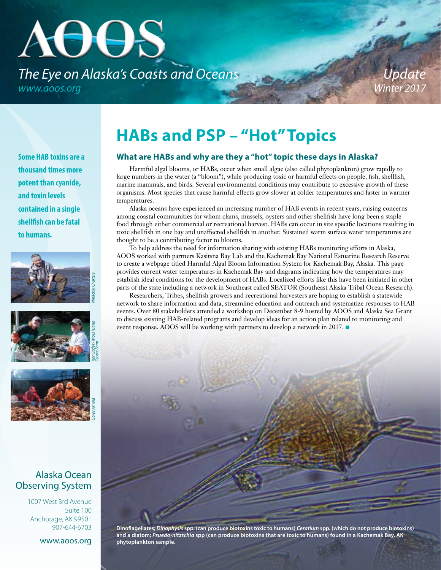# AOOS *The Eye on Alaska's Coasts and Oceans www.aoos.org*

# **HABs and PSP – "Hot"Topics**

#### **What are HABs and why are they a "hot" topic these days in Alaska?**

Harmful algal blooms, or HABs, occur when small algae (also called phytoplankton) grow rapidly to large numbers in the water (a "bloom"), while producing toxic or harmful effects on people, fish, shellfish, marine mammals, and birds. Several environmental conditions may contribute to excessive growth of these organisms. Most species that cause harmful effects grow slower at colder temperatures and faster in warmer temperatures.

Alaska oceans have experienced an increasing number of HAB events in recent years, raising concerns among coastal communities for whom clams, mussels, oysters and other shellfish have long been a staple food through either commercial or recreational harvest. HABs can occur in site specific locations resulting in toxic shellfish in one bay and unaffected shellfish in another. Sustained warm surface water temperatures are thought to be a contributing factor to blooms.

To help address the need for information sharing with existing HABs monitoring efforts in Alaska, AOOS worked with partners Kasitsna Bay Lab and the Kachemak Bay National Estuarine Research Reserve to create a webpage titled Harmful Algal Bloom Information System for Kachemak Bay, Alaska. This page provides current water temperatures in Kachemak Bay and diagrams indicating how the temperatures may establish ideal conditions for the development of HABs. Localized efforts like this have been initiated in other parts of the state including a network in Southeast called SEATOR (Southeast Alaska Tribal Ocean Research).

Researchers, Tribes, shellfish growers and recreational harvesters are hoping to establish a statewide network to share information and data, streamline education and outreach and systematize responses to HAB events. Over 80 stakeholders attended a workshop on December 8-9 hosted by AOOS and Alaska Sea Grant to discuss existing HAB-related programs and develop ideas for an action plan related to monitoring and event response. AOOS will be working with partners to develop a network in 2017.



**Dinoflagellates;** *Dinophysis* **spp. (can produce biotoxins toxic to humans)** *Ceratium* **spp. (which do not produce biotoxins) and a diatom;** *Psuedo-nitzschia* **spp (can produce biotoxins that are toxic to humans) found in a Kachemak Bay, AK phytoplankton sample.**

**Some HAB toxins are a thousand times more potent than cyanide, and toxin levels contained in a single shellfish can be fatal to humans.**







#### Alaska Ocean Observing System

1007 West 3rd Avenue Suite 100 Anchorage, AK 99501 907-644-6703

www.aoos.org